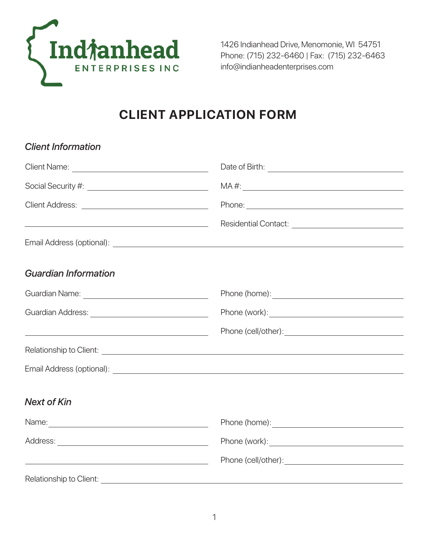

1426 Indianhead Drive, Menomonie, WI 54751 Phone: (715) 232-6460 | Fax: (715) 232-6463 info@indianheadenterprises.com

## **CLIENT APPLICATION FORM**

| Date of Birth: <u>contract the contract of Birth:</u>                                                                                                                                                                                |
|--------------------------------------------------------------------------------------------------------------------------------------------------------------------------------------------------------------------------------------|
|                                                                                                                                                                                                                                      |
| Phone: Note: 2004                                                                                                                                                                                                                    |
| <u> 1989 - Johann Barn, fransk politik (d. 1989)</u>                                                                                                                                                                                 |
|                                                                                                                                                                                                                                      |
|                                                                                                                                                                                                                                      |
|                                                                                                                                                                                                                                      |
|                                                                                                                                                                                                                                      |
| <u> 1989 - Johann Stoff, deutscher Stoffen und der Stoffen und der Stoffen und der Stoffen und der Stoffen und der</u>                                                                                                               |
|                                                                                                                                                                                                                                      |
|                                                                                                                                                                                                                                      |
|                                                                                                                                                                                                                                      |
|                                                                                                                                                                                                                                      |
| Phone (work): <u>with a series of the series of the series of the series of the series of the series of the series of the series of the series of the series of the series of the series of the series of the series of the seri</u> |
| <u> 1989 - Johann Stein, mars an deus Amerikaansk kommunister (</u>                                                                                                                                                                  |
| Relationship to Client: <u>contract the contract of the contract of the contract of the contract of the contract of the contract of the contract of the contract of the contract of the contract of the contract of the contract</u> |
|                                                                                                                                                                                                                                      |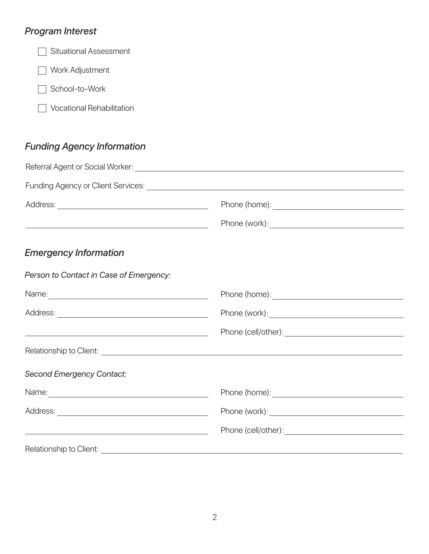## *Program Interest*

Situational Assessment

Work Adjustment

School-to-Work

**Vocational Rehabilitation** 

## *Funding Agency Information*

| <u> Alexandria de la contrada de la contrada de la contrada de la contrada de la contrada de la contrada de la c</u> |                                                                                                                                                                                                                                      |  |
|----------------------------------------------------------------------------------------------------------------------|--------------------------------------------------------------------------------------------------------------------------------------------------------------------------------------------------------------------------------------|--|
| <b>Emergency Information</b>                                                                                         |                                                                                                                                                                                                                                      |  |
| Person to Contact in Case of Emergency:                                                                              |                                                                                                                                                                                                                                      |  |
|                                                                                                                      |                                                                                                                                                                                                                                      |  |
|                                                                                                                      | Phone (work): <u>the contract of the contract of the contract of the contract of the contract of the contract of the contract of the contract of the contract of the contract of the contract of the contract of the contract of</u> |  |
|                                                                                                                      | Phone (cell/other): Note that the set of the set of the set of the set of the set of the set of the set of the                                                                                                                       |  |
|                                                                                                                      |                                                                                                                                                                                                                                      |  |
| <b>Second Emergency Contact:</b>                                                                                     |                                                                                                                                                                                                                                      |  |
|                                                                                                                      |                                                                                                                                                                                                                                      |  |
| <u> 1989 - Johann Barn, fransk politik (d. 1989)</u>                                                                 |                                                                                                                                                                                                                                      |  |
|                                                                                                                      |                                                                                                                                                                                                                                      |  |
|                                                                                                                      |                                                                                                                                                                                                                                      |  |